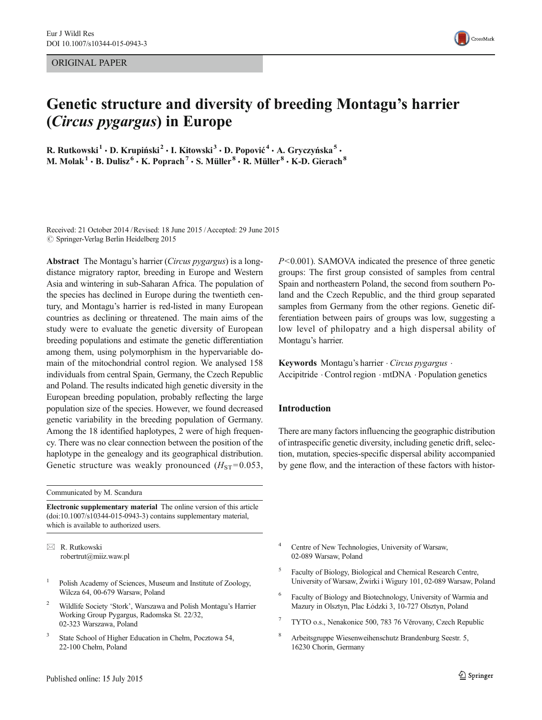ORIGINAL PAPER

# Genetic structure and diversity of breeding Montagu's harrier (Circus pygargus) in Europe

R. Rutkowski<sup>1</sup> · D. Krupiński<sup>2</sup> · I. Kitowski<sup>3</sup> · D. Popović<sup>4</sup> · A. Gryczyńska<sup>5</sup> · M. Molak<sup>1</sup> · B. Dulisz<sup>6</sup> · K. Poprach<sup>7</sup> · S. Müller<sup>8</sup> · R. Müller<sup>8</sup> · K-D. Gierach<sup>8</sup>

Received: 21 October 2014 /Revised: 18 June 2015 /Accepted: 29 June 2015  $\oslash$  Springer-Verlag Berlin Heidelberg 2015

Abstract The Montagu's harrier (Circus pygargus) is a longdistance migratory raptor, breeding in Europe and Western Asia and wintering in sub-Saharan Africa. The population of the species has declined in Europe during the twentieth century, and Montagu's harrier is red-listed in many European countries as declining or threatened. The main aims of the study were to evaluate the genetic diversity of European breeding populations and estimate the genetic differentiation among them, using polymorphism in the hypervariable domain of the mitochondrial control region. We analysed 158 individuals from central Spain, Germany, the Czech Republic and Poland. The results indicated high genetic diversity in the European breeding population, probably reflecting the large population size of the species. However, we found decreased genetic variability in the breeding population of Germany. Among the 18 identified haplotypes, 2 were of high frequency. There was no clear connection between the position of the haplotype in the genealogy and its geographical distribution. Genetic structure was weakly pronounced  $(H<sub>ST</sub>=0.053$ ,

Communicated by M. Scandura

Electronic supplementary material The online version of this article (doi[:10.1007/s10344-015-0943-3](http://dx.doi.org/10.1007/s10344-015-0943-3)) contains supplementary material, which is available to authorized users.

 $\boxtimes$  R. Rutkowski robertrut@miiz.waw.pl

- <sup>1</sup> Polish Academy of Sciences, Museum and Institute of Zoology, Wilcza 64, 00-679 Warsaw, Poland
- <sup>2</sup> Wildlife Society 'Stork', Warszawa and Polish Montagu's Harrier Working Group Pygargus, Radomska St. 22/32, 02-323 Warszawa, Poland
- <sup>3</sup> State School of Higher Education in Chełm, Pocztowa 54, 22-100 Chełm, Poland



Keywords Montagu's harrier · Circus pygargus · Accipitride . Control region . mtDNA . Population genetics

## Introduction

There are many factors influencing the geographic distribution of intraspecific genetic diversity, including genetic drift, selection, mutation, species-specific dispersal ability accompanied by gene flow, and the interaction of these factors with histor-

- Centre of New Technologies, University of Warsaw, 02-089 Warsaw, Poland
- <sup>5</sup> Faculty of Biology, Biological and Chemical Research Centre, University of Warsaw, Żwirki i Wigury 101, 02-089 Warsaw, Poland
- <sup>6</sup> Faculty of Biology and Biotechnology, University of Warmia and Mazury in Olsztyn, Plac Łódzki 3, 10-727 Olsztyn, Poland
- <sup>7</sup> TYTO o.s., Nenakonice 500, 783 76 Věrovany, Czech Republic
- <sup>8</sup> Arbeitsgruppe Wiesenweihenschutz Brandenburg Seestr. 5, 16230 Chorin, Germany

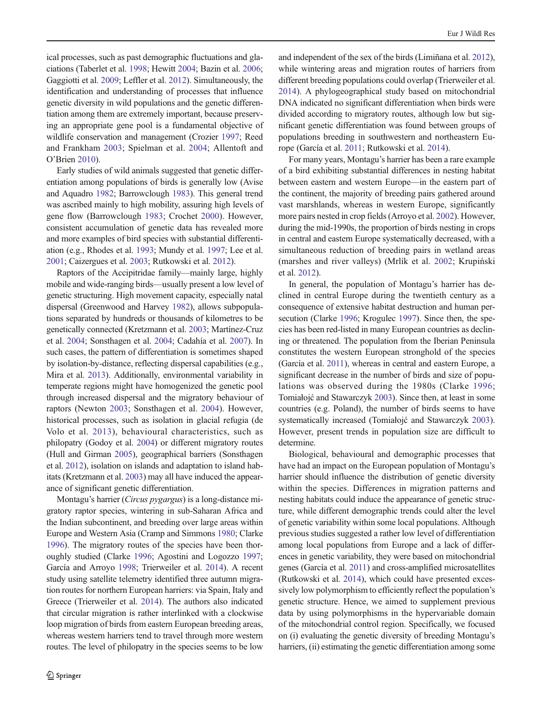ical processes, such as past demographic fluctuations and glaciations (Taberlet et al. [1998;](#page-10-0) Hewitt [2004](#page-8-0); Bazin et al. [2006](#page-8-0); Gaggiotti et al. [2009;](#page-8-0) Leffler et al. [2012\)](#page-9-0). Simultaneously, the identification and understanding of processes that influence genetic diversity in wild populations and the genetic differentiation among them are extremely important, because preserving an appropriate gene pool is a fundamental objective of wildlife conservation and management (Crozier [1997;](#page-8-0) Reed and Frankham [2003](#page-9-0); Spielman et al. [2004;](#page-10-0) Allentoft and O'Brien [2010\)](#page-8-0).

Early studies of wild animals suggested that genetic differentiation among populations of birds is generally low (Avise and Aquadro [1982;](#page-8-0) Barrowclough [1983\)](#page-8-0). This general trend was ascribed mainly to high mobility, assuring high levels of gene flow (Barrowclough [1983](#page-8-0); Crochet [2000](#page-8-0)). However, consistent accumulation of genetic data has revealed more and more examples of bird species with substantial differentiation (e.g., Rhodes et al. [1993](#page-9-0); Mundy et al. [1997](#page-9-0); Lee et al. [2001;](#page-9-0) Caizergues et al. [2003](#page-8-0); Rutkowski et al. [2012\)](#page-9-0).

Raptors of the Accipitridae family—mainly large, highly mobile and wide-ranging birds—usually present a low level of genetic structuring. High movement capacity, especially natal dispersal (Greenwood and Harvey [1982\)](#page-8-0), allows subpopulations separated by hundreds or thousands of kilometres to be genetically connected (Kretzmann et al. [2003](#page-9-0); Martínez-Cruz et al. [2004](#page-9-0); Sonsthagen et al. [2004](#page-9-0); Cadahía et al. [2007](#page-8-0)). In such cases, the pattern of differentiation is sometimes shaped by isolation-by-distance, reflecting dispersal capabilities (e.g., Mira et al. [2013](#page-9-0)). Additionally, environmental variability in temperate regions might have homogenized the genetic pool through increased dispersal and the migratory behaviour of raptors (Newton [2003;](#page-9-0) Sonsthagen et al. [2004](#page-9-0)). However, historical processes, such as isolation in glacial refugia (de Volo et al. [2013](#page-8-0)), behavioural characteristics, such as philopatry (Godoy et al. [2004\)](#page-8-0) or different migratory routes (Hull and Girman [2005\)](#page-8-0), geographical barriers (Sonsthagen et al. [2012\)](#page-9-0), isolation on islands and adaptation to island habitats (Kretzmann et al. [2003](#page-9-0)) may all have induced the appearance of significant genetic differentiation.

Montagu's harrier (*Circus pygargus*) is a long-distance migratory raptor species, wintering in sub-Saharan Africa and the Indian subcontinent, and breeding over large areas within Europe and Western Asia (Cramp and Simmons [1980](#page-8-0); Clarke [1996\)](#page-8-0). The migratory routes of the species have been thoroughly studied (Clarke [1996;](#page-8-0) Agostini and Logozzo [1997](#page-8-0); García and Arroyo [1998;](#page-8-0) Trierweiler et al. [2014\)](#page-10-0). A recent study using satellite telemetry identified three autumn migration routes for northern European harriers: via Spain, Italy and Greece (Trierweiler et al. [2014\)](#page-10-0). The authors also indicated that circular migration is rather interlinked with a clockwise loop migration of birds from eastern European breeding areas, whereas western harriers tend to travel through more western routes. The level of philopatry in the species seems to be low and independent of the sex of the birds (Limiñana et al. [2012\)](#page-9-0), while wintering areas and migration routes of harriers from different breeding populations could overlap (Trierweiler et al. [2014](#page-10-0)). A phylogeographical study based on mitochondrial DNA indicated no significant differentiation when birds were divided according to migratory routes, although low but significant genetic differentiation was found between groups of populations breeding in southwestern and northeastern Europe (García et al. [2011](#page-8-0); Rutkowski et al. [2014](#page-9-0)).

For many years, Montagu's harrier has been a rare example of a bird exhibiting substantial differences in nesting habitat between eastern and western Europe—in the eastern part of the continent, the majority of breeding pairs gathered around vast marshlands, whereas in western Europe, significantly more pairs nested in crop fields (Arroyo et al. [2002](#page-8-0)). However, during the mid-1990s, the proportion of birds nesting in crops in central and eastern Europe systematically decreased, with a simultaneous reduction of breeding pairs in wetland areas (marshes and river valleys) (Mrlík et al. [2002](#page-9-0); Krupiński et al. [2012](#page-9-0)).

In general, the population of Montagu's harrier has declined in central Europe during the twentieth century as a consequence of extensive habitat destruction and human persecution (Clarke [1996](#page-8-0); Krogulec [1997\)](#page-9-0). Since then, the species has been red-listed in many European countries as declining or threatened. The population from the Iberian Peninsula constitutes the western European stronghold of the species (García et al. [2011](#page-8-0)), whereas in central and eastern Europe, a significant decrease in the number of birds and size of populations was observed during the 1980s (Clarke [1996;](#page-8-0) Tomiałojć and Stawarczyk [2003](#page-10-0)). Since then, at least in some countries (e.g. Poland), the number of birds seems to have systematically increased (Tomiałojć and Stawarczyk [2003\)](#page-10-0). However, present trends in population size are difficult to determine.

Biological, behavioural and demographic processes that have had an impact on the European population of Montagu's harrier should influence the distribution of genetic diversity within the species. Differences in migration patterns and nesting habitats could induce the appearance of genetic structure, while different demographic trends could alter the level of genetic variability within some local populations. Although previous studies suggested a rather low level of differentiation among local populations from Europe and a lack of differences in genetic variability, they were based on mitochondrial genes (García et al. [2011](#page-8-0)) and cross-amplified microsatellites (Rutkowski et al. [2014](#page-9-0)), which could have presented excessively low polymorphism to efficiently reflect the population's genetic structure. Hence, we aimed to supplement previous data by using polymorphisms in the hypervariable domain of the mitochondrial control region. Specifically, we focused on (i) evaluating the genetic diversity of breeding Montagu's harriers, (ii) estimating the genetic differentiation among some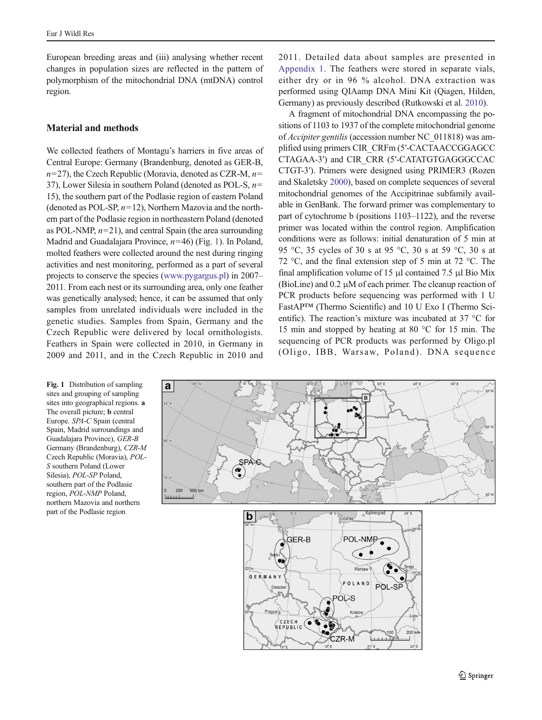European breeding areas and (iii) analysing whether recent changes in population sizes are reflected in the pattern of polymorphism of the mitochondrial DNA (mtDNA) control region.

# Material and methods

We collected feathers of Montagu's harriers in five areas of Central Europe: Germany (Brandenburg, denoted as GER-B,  $n=27$ ), the Czech Republic (Moravia, denoted as CZR-M,  $n=$ 37), Lower Silesia in southern Poland (denoted as POL-S,  $n=$ 15), the southern part of the Podlasie region of eastern Poland (denoted as POL-SP,  $n=12$ ), Northern Mazovia and the northern part of the Podlasie region in northeastern Poland (denoted as POL-NMP,  $n=21$ ), and central Spain (the area surrounding Madrid and Guadalajara Province,  $n=46$ ) (Fig. 1). In Poland, molted feathers were collected around the nest during ringing activities and nest monitoring, performed as a part of several projects to conserve the species [\(www.pygargus.pl](http://www.pygargus.pl/)) in 2007– 2011. From each nest or its surrounding area, only one feather was genetically analysed; hence, it can be assumed that only samples from unrelated individuals were included in the genetic studies. Samples from Spain, Germany and the Czech Republic were delivered by local ornithologists. Feathers in Spain were collected in 2010, in Germany in 2009 and 2011, and in the Czech Republic in 2010 and 2011. Detailed data about samples are presented in Appendix 1. The feathers were stored in separate vials, either dry or in 96 % alcohol. DNA extraction was performed using QIAamp DNA Mini Kit (Qiagen, Hilden, Germany) as previously described (Rutkowski et al. [2010\)](#page-9-0).

A fragment of mitochondrial DNA encompassing the positions of 1103 to 1937 of the complete mitochondrial genome of Accipiter gentilis (accession number NC\_011818) was amplified using primers CIR\_CRFm (5′-CACTAACCGGAGCC CTAGAA-3′) and CIR\_CRR (5′-CATATGTGAGGGCCAC CTGT-3′). Primers were designed using PRIMER3 (Rozen and Skaletsky [2000](#page-9-0)), based on complete sequences of several mitochondrial genomes of the Accipitrinae subfamily available in GenBank. The forward primer was complementary to part of cytochrome b (positions 1103–1122), and the reverse primer was located within the control region. Amplification conditions were as follows: initial denaturation of 5 min at 95 °C, 35 cycles of 30 s at 95 °C, 30 s at 59 °C, 30 s at 72 °C, and the final extension step of 5 min at 72 °C. The final amplification volume of 15 μl contained 7.5 μl Bio Mix (BioLine) and 0.2 μM of each primer. The cleanup reaction of PCR products before sequencing was performed with 1 U FastAP™ (Thermo Scientific) and 10 U Exo I (Thermo Scientific). The reaction's mixture was incubated at 37 °C for 15 min and stopped by heating at 80 °C for 15 min. The sequencing of PCR products was performed by Oligo.pl (Oligo, IBB, Warsaw, Poland). DNA sequence

Fig. 1 Distribution of sampling sites and grouping of sampling sites into geographical regions. a The overall picture; b central Europe. SPA-C Spain (central Spain, Madrid surroundings and Guadalajara Province), GER-B Germany (Brandenburg), CZR-M Czech Republic (Moravia), POL-S southern Poland (Lower Silesia), POL-SP Poland, southern part of the Podlasie region, POL-NMP Poland, northern Mazovia and northern part of the Podlasie region



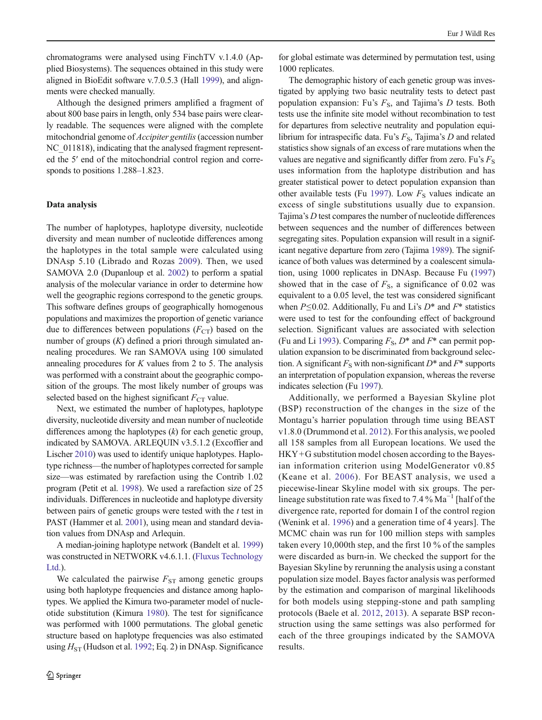chromatograms were analysed using FinchTV v.1.4.0 (Applied Biosystems). The sequences obtained in this study were aligned in BioEdit software v.7.0.5.3 (Hall [1999](#page-8-0)), and alignments were checked manually.

Although the designed primers amplified a fragment of about 800 base pairs in length, only 534 base pairs were clearly readable. The sequences were aligned with the complete mitochondrial genome of *Accipiter gentilis* (accession number NC 011818), indicating that the analysed fragment represented the 5′ end of the mitochondrial control region and corresponds to positions 1.288–1.823.

#### Data analysis

The number of haplotypes, haplotype diversity, nucleotide diversity and mean number of nucleotide differences among the haplotypes in the total sample were calculated using DNAsp 5.10 (Librado and Rozas [2009\)](#page-9-0). Then, we used SAMOVA 2.0 (Dupanloup et al. [2002](#page-8-0)) to perform a spatial analysis of the molecular variance in order to determine how well the geographic regions correspond to the genetic groups. This software defines groups of geographically homogenous populations and maximizes the proportion of genetic variance due to differences between populations  $(F_{CT})$  based on the number of groups  $(K)$  defined a priori through simulated annealing procedures. We ran SAMOVA using 100 simulated annealing procedures for  $K$  values from 2 to 5. The analysis was performed with a constraint about the geographic composition of the groups. The most likely number of groups was selected based on the highest significant  $F_{CT}$  value.

Next, we estimated the number of haplotypes, haplotype diversity, nucleotide diversity and mean number of nucleotide differences among the haplotypes  $(k)$  for each genetic group, indicated by SAMOVA. ARLEQUIN v3.5.1.2 (Excoffier and Lischer [2010\)](#page-8-0) was used to identify unique haplotypes. Haplotype richness—the number of haplotypes corrected for sample size—was estimated by rarefaction using the Contrib 1.02 program (Petit et al. [1998\)](#page-9-0). We used a rarefaction size of 25 individuals. Differences in nucleotide and haplotype diversity between pairs of genetic groups were tested with the  $t$  test in PAST (Hammer et al. [2001](#page-8-0)), using mean and standard deviation values from DNAsp and Arlequin.

A median-joining haplotype network (Bandelt et al. [1999\)](#page-8-0) was constructed in NETWORK v4.6.1.1. ([Fluxus Technology](#page-8-0) [Ltd.\)](#page-8-0).

We calculated the pairwise  $F_{ST}$  among genetic groups using both haplotype frequencies and distance among haplotypes. We applied the Kimura two-parameter model of nucleotide substitution (Kimura [1980\)](#page-9-0). The test for significance was performed with 1000 permutations. The global genetic structure based on haplotype frequencies was also estimated using  $H_{ST}$  (Hudson et al. [1992](#page-8-0); Eq. 2) in DNAsp. Significance for global estimate was determined by permutation test, using 1000 replicates.

The demographic history of each genetic group was investigated by applying two basic neutrality tests to detect past population expansion: Fu's  $F<sub>S</sub>$ , and Tajima's D tests. Both tests use the infinite site model without recombination to test for departures from selective neutrality and population equilibrium for intraspecific data. Fu's  $F_s$ , Tajima's D and related statistics show signals of an excess of rare mutations when the values are negative and significantly differ from zero. Fu's  $F<sub>S</sub>$ uses information from the haplotype distribution and has greater statistical power to detect population expansion than other available tests (Fu [1997\)](#page-8-0). Low  $F<sub>S</sub>$  values indicate an excess of single substitutions usually due to expansion. Tajima's D test compares the number of nucleotide differences between sequences and the number of differences between segregating sites. Population expansion will result in a significant negative departure from zero (Tajima [1989\)](#page-10-0). The significance of both values was determined by a coalescent simulation, using 1000 replicates in DNAsp. Because Fu ([1997](#page-8-0)) showed that in the case of  $F<sub>S</sub>$ , a significance of 0.02 was equivalent to a 0.05 level, the test was considered significant when  $P \le 0.02$ . Additionally, Fu and Li's  $D^*$  and  $F^*$  statistics were used to test for the confounding effect of background selection. Significant values are associated with selection (Fu and Li [1993](#page-8-0)). Comparing  $F_s$ ,  $D^*$  and  $F^*$  can permit population expansion to be discriminated from background selection. A significant  $F<sub>S</sub>$  with non-significant  $D^*$  and  $F^*$  supports an interpretation of population expansion, whereas the reverse indicates selection (Fu [1997\)](#page-8-0).

Additionally, we performed a Bayesian Skyline plot (BSP) reconstruction of the changes in the size of the Montagu's harrier population through time using BEAST v1.8.0 (Drummond et al. [2012](#page-8-0)). For this analysis, we pooled all 158 samples from all European locations. We used the HKY+G substitution model chosen according to the Bayesian information criterion using ModelGenerator v0.85 (Keane et al. [2006](#page-9-0)). For BEAST analysis, we used a piecewise-linear Skyline model with six groups. The perlineage substitution rate was fixed to 7.4 %  $Ma^{-1}$  [half of the divergence rate, reported for domain I of the control region (Wenink et al. [1996\)](#page-10-0) and a generation time of 4 years]. The MCMC chain was run for 100 million steps with samples taken every 10,000th step, and the first 10 % of the samples were discarded as burn-in. We checked the support for the Bayesian Skyline by rerunning the analysis using a constant population size model. Bayes factor analysis was performed by the estimation and comparison of marginal likelihoods for both models using stepping-stone and path sampling protocols (Baele et al. [2012](#page-8-0), [2013\)](#page-8-0). A separate BSP reconstruction using the same settings was also performed for each of the three groupings indicated by the SAMOVA results.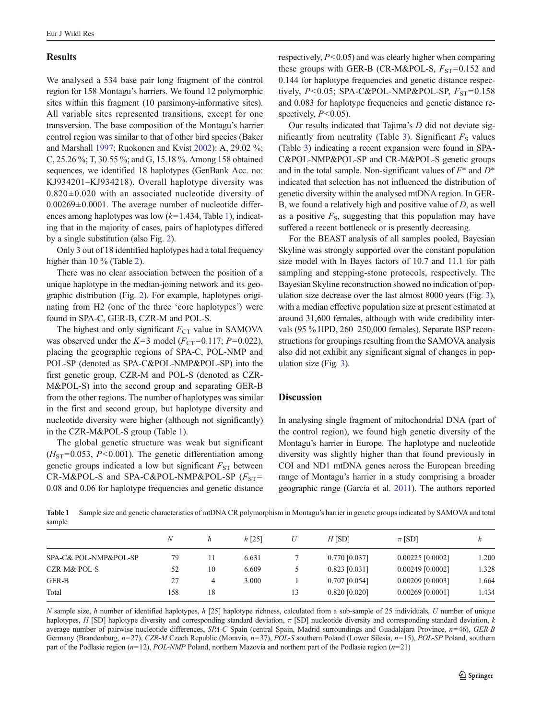#### Results

We analysed a 534 base pair long fragment of the control region for 158 Montagu's harriers. We found 12 polymorphic sites within this fragment (10 parsimony-informative sites). All variable sites represented transitions, except for one transversion. The base composition of the Montagu's harrier control region was similar to that of other bird species (Baker and Marshall [1997](#page-8-0); Ruokonen and Kvist [2002\)](#page-9-0): A, 29.02 %; C, 25.26 %; T, 30.55 %; and G, 15.18 %. Among 158 obtained sequences, we identified 18 haplotypes (GenBank Acc. no: KJ934201–KJ934218). Overall haplotype diversity was  $0.820\pm0.020$  with an associated nucleotide diversity of  $0.00269 \pm 0.0001$ . The average number of nucleotide differences among haplotypes was low  $(k=1.434,$  Table 1), indicating that in the majority of cases, pairs of haplotypes differed by a single substitution (also Fig. [2\)](#page-5-0).

Only 3 out of 18 identified haplotypes had a total frequency higher than 10 % (Table [2](#page-5-0)).

There was no clear association between the position of a unique haplotype in the median-joining network and its geographic distribution (Fig. [2\)](#page-5-0). For example, haplotypes originating from H2 (one of the three 'core haplotypes') were found in SPA-C, GER-B, CZR-M and POL-S.

The highest and only significant  $F_{CT}$  value in SAMOVA was observed under the  $K=3$  model ( $F_{CT}=0.117$ ;  $P=0.022$ ), placing the geographic regions of SPA-C, POL-NMP and POL-SP (denoted as SPA-C&POL-NMP&POL-SP) into the first genetic group, CZR-M and POL-S (denoted as CZR-M&POL-S) into the second group and separating GER-B from the other regions. The number of haplotypes was similar in the first and second group, but haplotype diversity and nucleotide diversity were higher (although not significantly) in the CZR-M&POL-S group (Table 1).

The global genetic structure was weak but significant  $(H<sub>ST</sub>=0.053, P<0.001)$ . The genetic differentiation among genetic groups indicated a low but significant  $F_{ST}$  between CR-M&POL-S and SPA-C&POL-NMP&POL-SP  $(F_{ST}$ = 0.08 and 0.06 for haplotype frequencies and genetic distance respectively,  $P < 0.05$ ) and was clearly higher when comparing these groups with GER-B (CR-M&POL-S,  $F_{ST}$ =0.152 and 0.144 for haplotype frequencies and genetic distance respectively,  $P<0.05$ ; SPA-C&POL-NMP&POL-SP,  $F_{ST}=0.158$ and 0.083 for haplotype frequencies and genetic distance respectively,  $P < 0.05$ ).

Our results indicated that Tajima's D did not deviate sig-nificantly from neutrality (Table [3](#page-6-0)). Significant  $F<sub>S</sub>$  values (Table [3\)](#page-6-0) indicating a recent expansion were found in SPA-C&POL-NMP&POL-SP and CR-M&POL-S genetic groups and in the total sample. Non-significant values of  $F^*$  and  $D^*$ indicated that selection has not influenced the distribution of genetic diversity within the analysed mtDNA region. In GER-B, we found a relatively high and positive value of  $D$ , as well as a positive  $F<sub>S</sub>$ , suggesting that this population may have suffered a recent bottleneck or is presently decreasing.

For the BEAST analysis of all samples pooled, Bayesian Skyline was strongly supported over the constant population size model with ln Bayes factors of 10.7 and 11.1 for path sampling and stepping-stone protocols, respectively. The Bayesian Skyline reconstruction showed no indication of population size decrease over the last almost 8000 years (Fig. [3\)](#page-6-0), with a median effective population size at present estimated at around 31,600 females, although with wide credibility intervals (95 % HPD, 260–250,000 females). Separate BSP reconstructions for groupings resulting from the SAMOVA analysis also did not exhibit any significant signal of changes in population size (Fig. [3](#page-6-0)).

## Discussion

In analysing single fragment of mitochondrial DNA (part of the control region), we found high genetic diversity of the Montagu's harrier in Europe. The haplotype and nucleotide diversity was slightly higher than that found previously in COI and ND1 mtDNA genes across the European breeding range of Montagu's harrier in a study comprising a broader geographic range (García et al. [2011](#page-8-0)). The authors reported

Table 1 Sample size and genetic characteristics of mtDNA CR polymorphism in Montagu's harrier in genetic groups indicated by SAMOVA and total sample

|                       | Ν   |    | $h$ [25] | U  | $H$ [SD]        | $\pi$ [SD]         | k     |
|-----------------------|-----|----|----------|----|-----------------|--------------------|-------|
| SPA-C& POL-NMP&POL-SP | 79  | 11 | 6.631    |    | $0.770$ [0.037] | $0.00225$ [0.0002] | 1.200 |
| CZR-M& POL-S          | 52  | 10 | 6.609    |    | $0.823$ [0.031] | $0.00249$ [0.0002] | 1.328 |
| GER-B                 | 27  | 4  | 3.000    |    | $0.707$ [0.054] | $0.00209$ [0.0003] | 1.664 |
| Total                 | 158 | 18 |          | 13 | $0.820$ [0.020] | $0.00269$ [0.0001] | 1.434 |
|                       |     |    |          |    |                 |                    |       |

N sample size, h number of identified haplotypes, h [25] haplotype richness, calculated from a sub-sample of 25 individuals, U number of unique haplotypes, H [SD] haplotype diversity and corresponding standard deviation,  $\pi$  [SD] nucleotide diversity and corresponding standard deviation, k average number of pairwise nucleotide differences, SPA-C Spain (central Spain, Madrid surroundings and Guadalajara Province,  $n=46$ ), GER-B Germany (Brandenburg,  $n=27$ ), CZR-M Czech Republic (Moravia,  $n=37$ ), POL-S southern Poland (Lower Silesia,  $n=15$ ), POL-SP Poland, southern part of the Podlasie region ( $n=12$ ), POL-NMP Poland, northern Mazovia and northern part of the Podlasie region ( $n=21$ )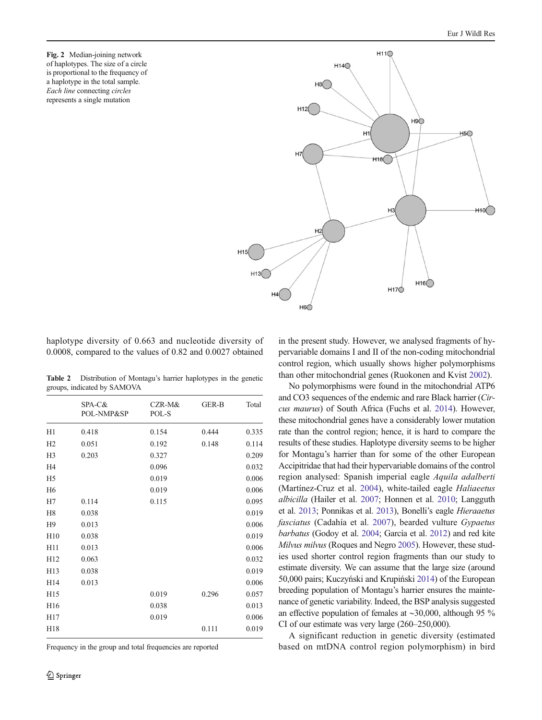<span id="page-5-0"></span>Fig. 2 Median-joining network of haplotypes. The size of a circle is proportional to the frequency of a haplotype in the total sample. Each line connecting circles represents a single mutation



haplotype diversity of 0.663 and nucleotide diversity of 0.0008, compared to the values of 0.82 and 0.0027 obtained

Table 2 Distribution of Montagu's harrier haplotypes in the genetic groups, indicated by SAMOVA

|                 | $SPA-C&$<br>POL-NMP&SP | $CZR-M&$<br>POL-S | <b>GER-B</b> | Total |
|-----------------|------------------------|-------------------|--------------|-------|
| H1              | 0.418                  | 0.154             | 0.444        | 0.335 |
| H <sub>2</sub>  | 0.051                  | 0.192             | 0.148        | 0.114 |
| H <sub>3</sub>  | 0.203                  | 0.327             |              | 0.209 |
| H4              |                        | 0.096             |              | 0.032 |
| H <sub>5</sub>  |                        | 0.019             |              | 0.006 |
| H <sub>6</sub>  |                        | 0.019             |              | 0.006 |
| H7              | 0.114                  | 0.115             |              | 0.095 |
| H8              | 0.038                  |                   |              | 0.019 |
| H <sub>9</sub>  | 0.013                  |                   |              | 0.006 |
| H10             | 0.038                  |                   |              | 0.019 |
| H11             | 0.013                  |                   |              | 0.006 |
| H12             | 0.063                  |                   |              | 0.032 |
| H13             | 0.038                  |                   |              | 0.019 |
| H14             | 0.013                  |                   |              | 0.006 |
| H15             |                        | 0.019             | 0.296        | 0.057 |
| H <sub>16</sub> |                        | 0.038             |              | 0.013 |
| H17             |                        | 0.019             |              | 0.006 |
| H18             |                        |                   | 0.111        | 0.019 |

Frequency in the group and total frequencies are reported

in the present study. However, we analysed fragments of hypervariable domains I and II of the non-coding mitochondrial control region, which usually shows higher polymorphisms than other mitochondrial genes (Ruokonen and Kvist [2002](#page-9-0)).

No polymorphisms were found in the mitochondrial ATP6 and CO3 sequences of the endemic and rare Black harrier (Circus maurus) of South Africa (Fuchs et al. [2014](#page-8-0)). However, these mitochondrial genes have a considerably lower mutation rate than the control region; hence, it is hard to compare the results of these studies. Haplotype diversity seems to be higher for Montagu's harrier than for some of the other European Accipitridae that had their hypervariable domains of the control region analysed: Spanish imperial eagle Aquila adalberti (Martínez-Cruz et al. [2004\)](#page-9-0), white-tailed eagle Haliaeetus albicilla (Hailer et al. [2007](#page-8-0); Honnen et al. [2010](#page-8-0); Langguth et al. [2013;](#page-9-0) Ponnikas et al. [2013\)](#page-9-0), Bonelli's eagle Hieraaetus fasciatus (Cadahía et al. [2007\)](#page-8-0), bearded vulture Gypaetus barbatus (Godoy et al. [2004;](#page-8-0) García et al. [2012\)](#page-8-0) and red kite Milvus milvus (Roques and Negro [2005\)](#page-9-0). However, these studies used shorter control region fragments than our study to estimate diversity. We can assume that the large size (around 50,000 pairs; Kuczyński and Krupiński [2014\)](#page-9-0) of the European breeding population of Montagu's harrier ensures the maintenance of genetic variability. Indeed, the BSP analysis suggested an effective population of females at ∼30,000, although 95 % CI of our estimate was very large (260–250,000).

A significant reduction in genetic diversity (estimated based on mtDNA control region polymorphism) in bird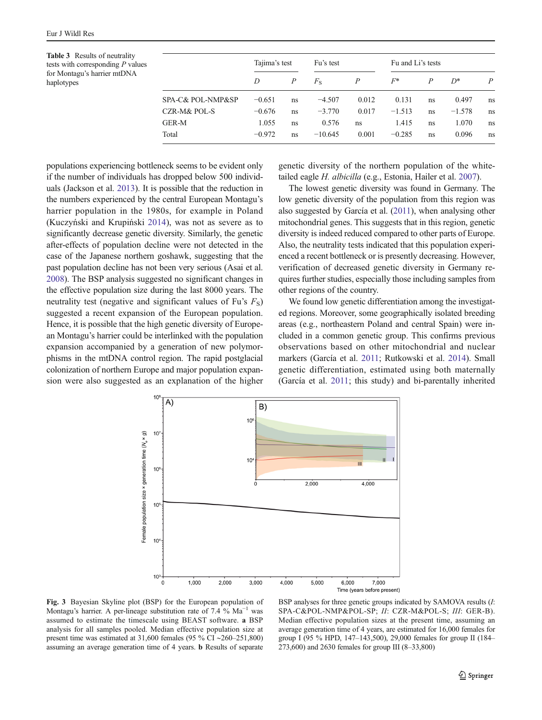<span id="page-6-0"></span>Table 3 Results of neutrality tests with corresponding  $P$  values for Montagu's harrier mtDNA haplotypes

|                                  | Tajima's test |    | Fu's test   |       | Fu and Li's tests |    |          |    |
|----------------------------------|---------------|----|-------------|-------|-------------------|----|----------|----|
|                                  | D             | Р  | $F_{\rm S}$ | Р     | F*                | P  | $D^*$    | P  |
| <b>SPA-C&amp; POL-NMP&amp;SP</b> | $-0.651$      | ns | $-4.507$    | 0.012 | 0.131             | ns | 0.497    | ns |
| CZR-M& POL-S                     | $-0.676$      | ns | $-3.770$    | 0.017 | $-1.513$          | ns | $-1.578$ | ns |
| <b>GER-M</b>                     | 1.055         | ns | 0.576       | ns    | 1.415             | ns | 1.070    | ns |
| Total                            | $-0.972$      | ns | $-10.645$   | 0.001 | $-0.285$          | ns | 0.096    | ns |
|                                  |               |    |             |       |                   |    |          |    |

populations experiencing bottleneck seems to be evident only if the number of individuals has dropped below 500 individuals (Jackson et al. [2013](#page-9-0)). It is possible that the reduction in the numbers experienced by the central European Montagu's harrier population in the 1980s, for example in Poland (Kuczyński and Krupiński [2014\)](#page-9-0), was not as severe as to significantly decrease genetic diversity. Similarly, the genetic after-effects of population decline were not detected in the case of the Japanese northern goshawk, suggesting that the past population decline has not been very serious (Asai et al. [2008\)](#page-8-0). The BSP analysis suggested no significant changes in the effective population size during the last 8000 years. The neutrality test (negative and significant values of Fu's  $F<sub>S</sub>$ ) suggested a recent expansion of the European population. Hence, it is possible that the high genetic diversity of European Montagu's harrier could be interlinked with the population expansion accompanied by a generation of new polymorphisms in the mtDNA control region. The rapid postglacial colonization of northern Europe and major population expansion were also suggested as an explanation of the higher

genetic diversity of the northern population of the whitetailed eagle H. albicilla (e.g., Estonia, Hailer et al. [2007\)](#page-8-0).

The lowest genetic diversity was found in Germany. The low genetic diversity of the population from this region was also suggested by García et al. [\(2011\)](#page-8-0), when analysing other mitochondrial genes. This suggests that in this region, genetic diversity is indeed reduced compared to other parts of Europe. Also, the neutrality tests indicated that this population experienced a recent bottleneck or is presently decreasing. However, verification of decreased genetic diversity in Germany requires further studies, especially those including samples from other regions of the country.

We found low genetic differentiation among the investigated regions. Moreover, some geographically isolated breeding areas (e.g., northeastern Poland and central Spain) were included in a common genetic group. This confirms previous observations based on other mitochondrial and nuclear markers (García et al. [2011;](#page-8-0) Rutkowski et al. [2014](#page-9-0)). Small genetic differentiation, estimated using both maternally (García et al. [2011](#page-8-0); this study) and bi-parentally inherited



Fig. 3 Bayesian Skyline plot (BSP) for the European population of Montagu's harrier. A per-lineage substitution rate of 7.4 %  $Ma^{-1}$  was assumed to estimate the timescale using BEAST software. a BSP analysis for all samples pooled. Median effective population size at present time was estimated at 31,600 females (95 % CI ∼260–251,800) assuming an average generation time of 4 years. b Results of separate

BSP analyses for three genetic groups indicated by SAMOVA results (I: SPA-C&POL-NMP&POL-SP; II: CZR-M&POL-S; III: GER-B). Median effective population sizes at the present time, assuming an average generation time of 4 years, are estimated for 16,000 females for group I (95 % HPD, 147–143,500), 29,000 females for group II (184– 273,600) and 2630 females for group III (8–33,800)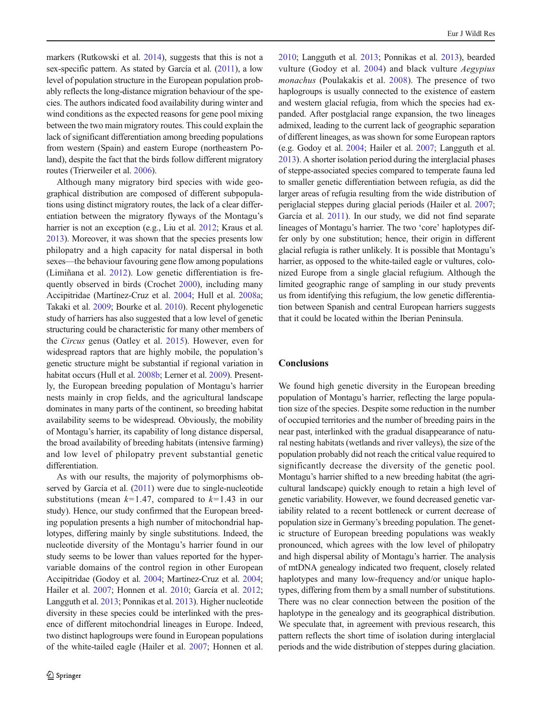markers (Rutkowski et al. [2014\)](#page-9-0), suggests that this is not a sex-specific pattern. As stated by García et al. [\(2011](#page-8-0)), a low level of population structure in the European population probably reflects the long-distance migration behaviour of the species. The authors indicated food availability during winter and wind conditions as the expected reasons for gene pool mixing between the two main migratory routes. This could explain the lack of significant differentiation among breeding populations from western (Spain) and eastern Europe (northeastern Poland), despite the fact that the birds follow different migratory routes (Trierweiler et al. [2006\)](#page-10-0).

Although many migratory bird species with wide geographical distribution are composed of different subpopulations using distinct migratory routes, the lack of a clear differentiation between the migratory flyways of the Montagu's harrier is not an exception (e.g., Liu et al. [2012;](#page-9-0) Kraus et al. [2013\)](#page-9-0). Moreover, it was shown that the species presents low philopatry and a high capacity for natal dispersal in both sexes—the behaviour favouring gene flow among populations (Limiñana et al. [2012](#page-9-0)). Low genetic differentiation is frequently observed in birds (Crochet [2000\)](#page-8-0), including many Accipitridae (Martínez-Cruz et al. [2004;](#page-9-0) Hull et al. [2008a](#page-9-0); Takaki et al. [2009;](#page-10-0) Bourke et al. [2010\)](#page-8-0). Recent phylogenetic study of harriers has also suggested that a low level of genetic structuring could be characteristic for many other members of the Circus genus (Oatley et al. [2015\)](#page-9-0). However, even for widespread raptors that are highly mobile, the population's genetic structure might be substantial if regional variation in habitat occurs (Hull et al. [2008b;](#page-9-0) Lerner et al. [2009\)](#page-9-0). Presently, the European breeding population of Montagu's harrier nests mainly in crop fields, and the agricultural landscape dominates in many parts of the continent, so breeding habitat availability seems to be widespread. Obviously, the mobility of Montagu's harrier, its capability of long distance dispersal, the broad availability of breeding habitats (intensive farming) and low level of philopatry prevent substantial genetic differentiation.

As with our results, the majority of polymorphisms observed by García et al. [\(2011](#page-8-0)) were due to single-nucleotide substitutions (mean  $k=1.47$ , compared to  $k=1.43$  in our study). Hence, our study confirmed that the European breeding population presents a high number of mitochondrial haplotypes, differing mainly by single substitutions. Indeed, the nucleotide diversity of the Montagu's harrier found in our study seems to be lower than values reported for the hypervariable domains of the control region in other European Accipitridae (Godoy et al. [2004;](#page-8-0) Martínez-Cruz et al. [2004](#page-9-0); Hailer et al. [2007](#page-8-0); Honnen et al. [2010](#page-8-0); García et al. [2012](#page-8-0); Langguth et al. [2013](#page-9-0); Ponnikas et al. [2013](#page-9-0)). Higher nucleotide diversity in these species could be interlinked with the presence of different mitochondrial lineages in Europe. Indeed, two distinct haplogroups were found in European populations of the white-tailed eagle (Hailer et al. [2007;](#page-8-0) Honnen et al.

[2010;](#page-8-0) Langguth et al. [2013;](#page-9-0) Ponnikas et al. [2013](#page-9-0)), bearded vulture (Godoy et al. [2004\)](#page-8-0) and black vulture Aegypius monachus (Poulakakis et al. [2008](#page-9-0)). The presence of two haplogroups is usually connected to the existence of eastern and western glacial refugia, from which the species had expanded. After postglacial range expansion, the two lineages admixed, leading to the current lack of geographic separation of different lineages, as was shown for some European raptors (e.g. Godoy et al. [2004](#page-8-0); Hailer et al. [2007](#page-8-0); Langguth et al. [2013\)](#page-9-0). A shorter isolation period during the interglacial phases of steppe-associated species compared to temperate fauna led to smaller genetic differentiation between refugia, as did the larger areas of refugia resulting from the wide distribution of periglacial steppes during glacial periods (Hailer et al. [2007;](#page-8-0) García et al. [2011\)](#page-8-0). In our study, we did not find separate lineages of Montagu's harrier. The two 'core' haplotypes differ only by one substitution; hence, their origin in different glacial refugia is rather unlikely. It is possible that Montagu's harrier, as opposed to the white-tailed eagle or vultures, colonized Europe from a single glacial refugium. Although the limited geographic range of sampling in our study prevents us from identifying this refugium, the low genetic differentiation between Spanish and central European harriers suggests that it could be located within the Iberian Peninsula.

## **Conclusions**

We found high genetic diversity in the European breeding population of Montagu's harrier, reflecting the large population size of the species. Despite some reduction in the number of occupied territories and the number of breeding pairs in the near past, interlinked with the gradual disappearance of natural nesting habitats (wetlands and river valleys), the size of the population probably did not reach the critical value required to significantly decrease the diversity of the genetic pool. Montagu's harrier shifted to a new breeding habitat (the agricultural landscape) quickly enough to retain a high level of genetic variability. However, we found decreased genetic variability related to a recent bottleneck or current decrease of population size in Germany's breeding population. The genetic structure of European breeding populations was weakly pronounced, which agrees with the low level of philopatry and high dispersal ability of Montagu's harrier. The analysis of mtDNA genealogy indicated two frequent, closely related haplotypes and many low-frequency and/or unique haplotypes, differing from them by a small number of substitutions. There was no clear connection between the position of the haplotype in the genealogy and its geographical distribution. We speculate that, in agreement with previous research, this pattern reflects the short time of isolation during interglacial periods and the wide distribution of steppes during glaciation.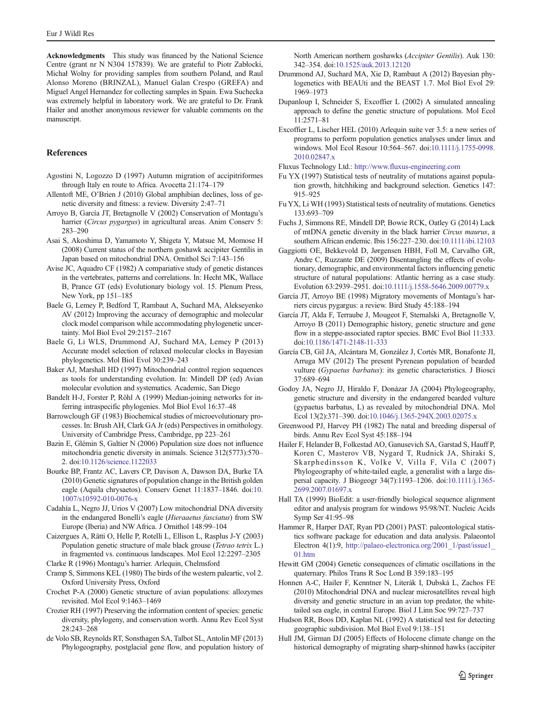<span id="page-8-0"></span>Acknowledgments This study was financed by the National Science Centre (grant nr N N304 157839). We are grateful to Piotr Zabłocki, Michał Wolny for providing samples from southern Poland, and Raul Alonso Moreno (BRINZAL), Manuel Galan Crespo (GREFA) and Miguel Angel Hernandez for collecting samples in Spain. Ewa Suchecka was extremely helpful in laboratory work. We are grateful to Dr. Frank Hailer and another anonymous reviewer for valuable comments on the manuscript.

#### References

- Agostini N, Logozzo D (1997) Autumn migration of accipitriformes through Italy en route to Africa. Avocetta 21:174–179
- Allentoft ME, O'Brien J (2010) Global amphibian declines, loss of genetic diversity and fitness: a review. Diversity 2:47–71
- Arroyo B, García JT, Bretagnolle V (2002) Conservation of Montagu's harrier (Circus pygargus) in agricultural areas. Anim Conserv 5: 283–290
- Asai S, Akoshima D, Yamamoto Y, Shigeta Y, Matsue M, Momose H (2008) Current status of the northern goshawk accipiter Gentilis in Japan based on mitochondrial DNA. Ornithol Sci 7:143–156
- Avise JC, Aquadro CF (1982) A compariative study of genetic distances in the vertebrates, patterns and correlations. In: Hecht MK, Wallace B, Prance GT (eds) Evolutionary biology vol. 15. Plenum Press, New York, pp 151–185
- Baele G, Lemey P, Bedford T, Rambaut A, Suchard MA, Alekseyenko AV (2012) Improving the accuracy of demographic and molecular clock model comparison while accommodating phylogenetic uncertainty. Mol Biol Evol 29:2157–2167
- Baele G, Li WLS, Drummond AJ, Suchard MA, Lemey P (2013) Accurate model selection of relaxed molecular clocks in Bayesian phylogenetics. Mol Biol Evol 30:239–243
- Baker AJ, Marshall HD (1997) Mitochondrial control region sequences as tools for understanding evolution. In: Mindell DP (ed) Avian molecular evolution and systematics. Academic, San Diego
- Bandelt H-J, Forster P, Röhl A (1999) Median-joining networks for inferring intraspecific phylogenies. Mol Biol Evol 16:37–48
- Barrowclough GF (1983) Biochemical studies of microevolutionary processes. In: Brush AH, Clark GA Jr (eds) Perspectives in ornithology. University of Cambridge Press, Cambridge, pp 223–261
- Bazin E, Glémin S, Galtier N (2006) Population size does not influence mitochondria genetic diversity in animals. Science 312(5773):570– 2. doi[:10.1126/science.1122033](http://dx.doi.org/10.1126/science.1122033)
- Bourke BP, Frantz AC, Lavers CP, Davison A, Dawson DA, Burke TA (2010) Genetic signatures of population change in the British golden eagle (Aquila chrysaetos). Conserv Genet 11:1837–1846. doi:[10.](http://dx.doi.org/10.1007/s10592-010-0076-x) [1007/s10592-010-0076-x](http://dx.doi.org/10.1007/s10592-010-0076-x)
- Cadahía L, Negro JJ, Urios V (2007) Low mitochondrial DNA diversity in the endangered Bonelli's eagle (Hieraaetus fasciatus) from SW Europe (Iberia) and NW Africa. J Ornithol 148:99–104
- Caizergues A, Rätti O, Helle P, Rotelli L, Ellison L, Rasplus J-Y (2003) Population genetic structure of male black grouse (Tetrao tetrix L.) in fragmented vs. continuous landscapes. Mol Ecol 12:2297–2305
- Clarke R (1996) Montagu's harrier. Arlequin, Chelmsford
- Cramp S, Simmons KEL (1980) The birds of the western paleartic, vol 2. Oxford University Press, Oxford
- Crochet P-A (2000) Genetic structure of avian populations: allozymes revisited. Mol Ecol 9:1463–1469
- Crozier RH (1997) Preserving the information content of species: genetic diversity, phylogeny, and conservation worth. Annu Rev Ecol Syst 28:243–268
- de Volo SB, Reynolds RT, Sonsthagen SA, Talbot SL, Antolin MF (2013) Phylogeography, postglacial gene flow, and population history of

North American northern goshawks (Accipiter Gentilis). Auk 130: 342–354. doi[:10.1525/auk.2013.12120](http://dx.doi.org/10.1525/auk.2013.12120)

- Drummond AJ, Suchard MA, Xie D, Rambaut A (2012) Bayesian phylogenetics with BEAUti and the BEAST 1.7. Mol Biol Evol 29: 1969–1973
- Dupanloup I, Schneider S, Excoffier L (2002) A simulated annealing approach to define the genetic structure of populations. Mol Ecol 11:2571–81
- Excoffier L, Lischer HEL (2010) Arlequin suite ver 3.5: a new series of programs to perform population genetics analyses under linux and windows. Mol Ecol Resour 10:564–567. doi[:10.1111/j.1755-0998.](http://dx.doi.org/10.1111/j.1755-0998.2010.02847.x) [2010.02847.x](http://dx.doi.org/10.1111/j.1755-0998.2010.02847.x)
- Fluxus Technology Ltd.: [http://www.fluxus-engineering.com](http://www.fluxus-engineering.com/)
- Fu YX (1997) Statistical tests of neutrality of mutations against population growth, hitchhiking and background selection. Genetics 147: 915–925
- Fu YX, Li WH (1993) Statistical tests of neutrality of mutations. Genetics 133:693–709
- Fuchs J, Simmons RE, Mindell DP, Bowie RCK, Oatley G (2014) Lack of mtDNA genetic diversity in the black harrier Circus maurus, a southern African endemic. Ibis 156:227–230. doi:[10.1111/ibi.12103](http://dx.doi.org/10.1111/ibi.12103)
- Gaggiotti OE, Bekkevold D, Jørgensen HBH, Foll M, Carvalho GR, Andre C, Ruzzante DE (2009) Disentangling the effects of evolutionary, demographic, and environmental factors influencing genetic structure of natural populations: Atlantic herring as a case study. Evolution 63:2939–2951. doi[:10.1111/j.1558-5646.2009.00779.x](http://dx.doi.org/10.1111/j.1558-5646.2009.00779.x)
- García JT, Arroyo BE (1998) Migratory movements of Montagu's harriers circus pygargus: a review. Bird Study 45:188–194
- García JT, Alda F, Terraube J, Mougeot F, Sternalski A, Bretagnolle V, Arroyo B (2011) Demographic history, genetic structure and gene flow in a steppe-associated raptor species. BMC Evol Biol 11:333. doi:[10.1186/1471-2148-11-333](http://dx.doi.org/10.1186/1471-2148-11-333)
- García CB, Gil JA, Alcántara M, González J, Cortés MR, Bonafonte JI, Arruga MV (2012) The present Pyrenean population of bearded vulture (Gypaetus barbatus): its genetic characteristics. J Biosci 37:689–694
- Godoy JA, Negro JJ, Hiraldo F, Donázar JA (2004) Phylogeography, genetic structure and diversity in the endangered bearded vulture (gypaetus barbatus, L) as revealed by mitochondrial DNA. Mol Ecol 13(2):371–390. doi[:10.1046/j.1365-294X.2003.02075.x](http://dx.doi.org/10.1046/j.1365-294X.2003.02075.x)
- Greenwood PJ, Harvey PH (1982) The natal and breeding dispersal of birds. Annu Rev Ecol Syst 45:188–194
- Hailer F, Helander B, Folkestad AO, Ganusevich SA, Garstad S, Hauff P, Koren C, Masterov VB, Nygard T, Rudnick JA, Shiraki S, Skarphedinsson K, Volke V, Villa F, Vila C (2007) Phylogeography of white-tailed eagle, a generalist with a large dispersal capacity. J Biogeogr 34(7):1193–1206. doi[:10.1111/j.1365-](http://dx.doi.org/10.1111/j.1365-2699.2007.01697.x) [2699.2007.01697.x](http://dx.doi.org/10.1111/j.1365-2699.2007.01697.x)
- Hall TA (1999) BioEdit: a user-friendly biological sequence alignment editor and analysis program for windows 95/98/NT. Nucleic Acids Symp Ser 41:95–98
- Hammer R, Harper DAT, Ryan PD (2001) PAST: paleontological statistics software package for education and data analysis. Palaeontol Electron 4(1):9, [http://palaeo-electronica.org/2001\\_1/past/issue1\\_](http://palaeo-electronica.org/2001_1/past/issue1_01.htm) [01.htm](http://palaeo-electronica.org/2001_1/past/issue1_01.htm)
- Hewitt GM (2004) Genetic consequences of climatic oscillations in the quaternary. Philos Trans R Soc Lond B 359:183–195
- Honnen A-C, Hailer F, Kenntner N, Literák I, Dubská L, Zachos FE (2010) Mitochondrial DNA and nuclear microsatellites reveal high diversity and genetic structure in an avian top predator, the whitetailed sea eagle, in central Europe. Biol J Linn Soc 99:727–737
- Hudson RR, Boos DD, Kaplan NL (1992) A statistical test for detecting geographic subdivision. Mol Biol Evol 9:138–151
- Hull JM, Girman DJ (2005) Effects of Holocene climate change on the historical demography of migrating sharp-shinned hawks (accipiter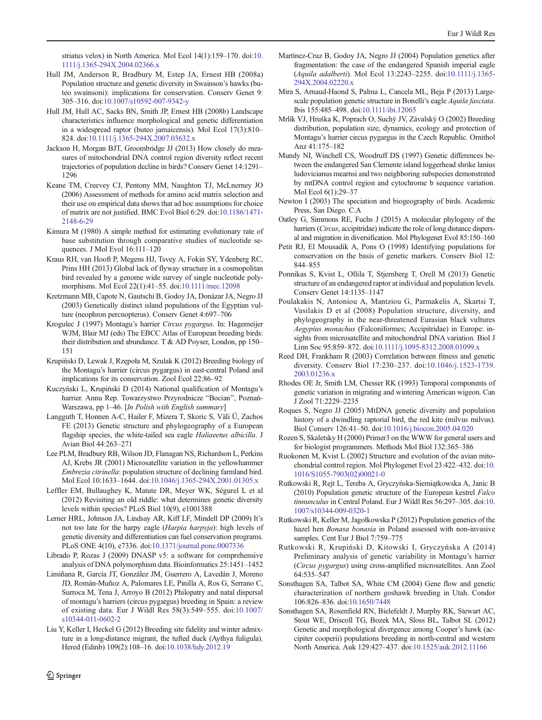<span id="page-9-0"></span>striatus velox) in North America. Mol Ecol 14(1):159–170. doi:[10.](http://dx.doi.org/10.1111/j.1365-294X.2004.02366.x) [1111/j.1365-294X.2004.02366.x](http://dx.doi.org/10.1111/j.1365-294X.2004.02366.x)

- Hull JM, Anderson R, Bradbury M, Estep JA, Ernest HB (2008a) Population structure and genetic diversity in Swainson's hawks (buteo swainsoni): implications for conservation. Conserv Genet 9: 305–316. doi[:10.1007/s10592-007-9342-y](http://dx.doi.org/10.1007/s10592-007-9342-y)
- Hull JM, Hull AC, Sacks BN, Smith JP, Ernest HB (2008b) Landscape characteristics influence morphological and genetic differentiation in a widespread raptor (buteo jamaicensis). Mol Ecol 17(3):810– 824. doi[:10.1111/j.1365-294X.2007.03632.x](http://dx.doi.org/10.1111/j.1365-294X.2007.03632.x)
- Jackson H, Morgan BJT, Groombridge JJ (2013) How closely do measures of mitochondrial DNA control region diversity reflect recent trajectories of population decline in birds? Conserv Genet 14:1291– 1296
- Keane TM, Creevey CJ, Pentony MM, Naughton TJ, McLnerney JO (2006) Assessment of methods for amino acid matrix selection and their use on empirical data shows that ad hoc assumptions for choice of matrix are not justified. BMC Evol Biol 6:29. doi[:10.1186/1471-](http://dx.doi.org/10.1186/1471-2148-6-29) [2148-6-29](http://dx.doi.org/10.1186/1471-2148-6-29)
- Kimura M (1980) A simple method for estimating evolutionary rate of base substitution through comparative studies of nucleotide sequences. J Mol Evol 16:111–120
- Kraus RH, van Hooft P, Megens HJ, Tsvey A, Fokin SY, Ydenberg RC, Prins HH (2013) Global lack of flyway structure in a cosmopolitan bird revealed by a genome wide survey of single nucleotide polymorphisms. Mol Ecol 22(1):41–55. doi[:10.1111/mec.12098](http://dx.doi.org/10.1111/mec.12098)
- Kretzmann MB, Capote N, Gautschi B, Godoy JA, Donázar JA, Negro JJ (2003) Genetically distinct island populations of the Egyptian vulture (neophron percnopterus). Conserv Genet 4:697–706
- Krogulec J (1997) Montagu's harrier Circus pygargus. In: Hagemeijer WJM, Blair MJ (eds) The EBCC Atlas of European breeding birds: their distribution and abundance. T & AD Poyser, London, pp 150– 151
- Krupiński D, Lewak J, Rzępoła M, Szulak K (2012) Breeding biology of the Montagu's harrier (circus pygargus) in east-central Poland and implications for its conservation. Zool Ecol 22:86–92
- Kuczyński L, Krupiński D (2014) National qualification of Montagu's harrier. Annu Rep. Towarzystwo Przyrodnicze "Bocian", Poznań-Warszawa, pp 1–46. [In Polish with English summary]
- Langguth T, Honnen A-C, Hailer F, Mizera T, Skoric S, Väli Ü, Zachos FE (2013) Genetic structure and phylogeography of a European flagship species, the white-tailed sea eagle Haliaeetus albicilla. J Avian Biol 44:263–271
- Lee PLM, Bradbury RB, Wilson JD, Flanagan NS, Richardson L, Perkins AJ, Krebs JR (2001) Microsatellite variation in the yellowhammer Embrezia citrinella: population structure of declining farmland bird. Mol Ecol 10:1633–1644. doi[:10.1046/j.1365-294X.2001.01305.x](http://dx.doi.org/10.1046/j.1365-294X.2001.01305.x)
- Leffler EM, Bullaughey K, Matute DR, Meyer WK, Ségurel L et al (2012) Revisiting an old riddle: what determines genetic diversity levels within species? PLoS Biol 10(9), e1001388
- Lerner HRL, Johnson JA, Lindsay AR, Kiff LF, Mindell DP (2009) It's not too late for the harpy eagle (Harpia harpyja): high levels of genetic diversity and differentiation can fuel conservation programs. PLoS ONE 4(10), e7336. doi[:10.1371/journal.pone.0007336](http://dx.doi.org/10.1371/journal.pone.0007336)
- Librado P, Rozas J (2009) DNASP v5: a software for comprehensive analysis of DNA polymorphism data. Bioinformatics 25:1451–1452
- Limiñana R, García JT, González JM, Guerrero A, Lavedán J, Moreno JD, Román-Muñoz A, Palomares LE, Pinilla A, Ros G, Serrano C, Surroca M, Tena J, Arroyo B (2012) Philopatry and natal dispersal of montagu's harriers (circus pygargus) breeding in Spain: a review of existing data. Eur J Wildl Res 58(3):549–555. doi:[10.1007/](http://dx.doi.org/10.1007/s10344-011-0602-2) [s10344-011-0602-2](http://dx.doi.org/10.1007/s10344-011-0602-2)
- Liu Y, Keller I, Heckel G (2012) Breeding site fidelity and winter admixture in a long-distance migrant, the tufted duck (Aythya fuligula). Hered (Edinb) 109(2):108–16. doi[:10.1038/hdy.2012.19](http://dx.doi.org/10.1038/hdy.2012.19)
- Martínez-Cruz B, Godoy JA, Negro JJ (2004) Population genetics after fragmentation: the case of the endangered Spanish imperial eagle (Aquila adalberti). Mol Ecol 13:2243–2255. doi:[10.1111/j.1365-](http://dx.doi.org/10.1111/j.1365-294X.2004.02220.x) [294X.2004.02220.x](http://dx.doi.org/10.1111/j.1365-294X.2004.02220.x)
- Mira S, Arnaud-Haond S, Palma L, Cancela ML, Beja P (2013) Largescale population genetic structure in Bonelli's eagle Aquila fasciata. Ibis 155:485–498. doi[:10.1111/ibi.12065](http://dx.doi.org/10.1111/ibi.12065)
- Mrlík VJ, Hruška K, Poprach O, Suchý JV, Závalský O (2002) Breeding distribution, population size, dynamics, ecology and protection of Montagu's harrier circus pygargus in the Czech Republic. Ornithol Anz 41:175–182
- Mundy NI, Winchell CS, Woodruff DS (1997) Genetic differences between the endangered San Clemente island loggerhead shrike lanius ludovicianus mearnsi and two neighboring subspecies demonstrated by mtDNA control region and cytochrome b sequence variation. Mol Ecol 6(1):29–37
- Newton I (2003) The speciation and biogeography of birds. Academic Press, San Diego. C.A
- Oatley G, Simmons RE, Fuchs J (2015) A molecular phylogeny of the harriers (Circus, accipitridae) indicate the role of long distance dispersal and migration in diversification. Mol Phylogenet Evol 85:150–160
- Petit RJ, El Mousadik A, Pons O (1998) Identifying populations for conservation on the basis of genetic markers. Conserv Biol 12: 844–855
- Ponnikas S, Kvist L, Ollila T, Stjernberg T, Orell M (2013) Genetic structure of an endangered raptor at individual and population levels. Conserv Genet 14:1135–1147
- Poulakakis N, Antoniou A, Mantziou G, Parmakelis A, Skartsi T, Vasilakis D et al (2008) Population structure, diversity, and phylogeography in the near-threatened Eurasian black vultures Aegypius monachus (Falconiformes; Accipitridae) in Europe: insights from microsatellite and mitochondrial DNA variation. Biol J Linn Soc 95:859–872. doi:[10.1111/j.1095-8312.2008.01099.x](http://dx.doi.org/10.1111/j.1095-8312.2008.01099.x)
- Reed DH, Frankham R (2003) Correlation between fitness and genetic diversity. Conserv Biol 17:230–237. doi[:10.1046/j.1523-1739.](http://dx.doi.org/10.1046/j.1523-1739.2003.01236.x) [2003.01236.x](http://dx.doi.org/10.1046/j.1523-1739.2003.01236.x)
- Rhodes OE Jr, Smith LM, Chesser RK (1993) Temporal components of genetic variation in migrating and wintering American wigeon. Can J Zool 71:2229–2235
- Roques S, Negro JJ (2005) MtDNA genetic diversity and population history of a dwindling raptorial bird, the red kite (milvus milvus). Biol Conserv 126:41–50. doi[:10.1016/j.biocon.2005.04.020](http://dx.doi.org/10.1016/j.biocon.2005.04.020)
- Rozen S, Skaletsky H (2000) Primer3 on the WWW for general users and for biologist programmers. Methods Mol Biol 132:365–386
- Ruokonen M, Kvist L (2002) Structure and evolution of the avian mitochondrial control region. Mol Phylogenet Evol 23:422–432. doi[:10.](http://dx.doi.org/10.1016/S1055-7903(02)00021-0) [1016/S1055-7903\(02\)00021-0](http://dx.doi.org/10.1016/S1055-7903(02)00021-0)
- Rutkowski R, Rejt L, Tereba A, Gryczyńska-Siemiątkowska A, Janic B (2010) Population genetic structure of the European kestrel Falco tinnunculus in Central Poland. Eur J Wildl Res 56:297–305. doi[:10.](http://dx.doi.org/10.1007/s10344-009-0320-1) [1007/s10344-009-0320-1](http://dx.doi.org/10.1007/s10344-009-0320-1)
- Rutkowski R, Keller M, Jagołkowska P (2012) Population genetics of the hazel hen Bonasa bonasia in Poland assessed with non-invasive samples. Cent Eur J Biol 7:759–775
- Rutkowski R, Krupiński D, Kitowski I, Gryczyńska A (2014) Preliminary analysis of genetic variability in Montagu's harrier (Circus pygargus) using cross-amplified microsatellites. Ann Zool 64:535–547
- Sonsthagen SA, Talbot SA, White CM (2004) Gene flow and genetic characterization of northern goshawk breeding in Utah. Condor 106:826–836. doi:[10.1650/7448](http://dx.doi.org/10.1650/7448)
- Sonsthagen SA, Rosenfield RN, Bielefeldt J, Murphy RK, Stewart AC, Stout WE, Driscoll TG, Bozek MA, Sloss BL, Talbot SL (2012) Genetic and morphological divergence among Cooper's hawk (accipiter cooperii) populations breeding in north-central and western North America. Auk 129:427–437. doi:[10.1525/auk.2012.11166](http://dx.doi.org/10.1525/auk.2012.11166)